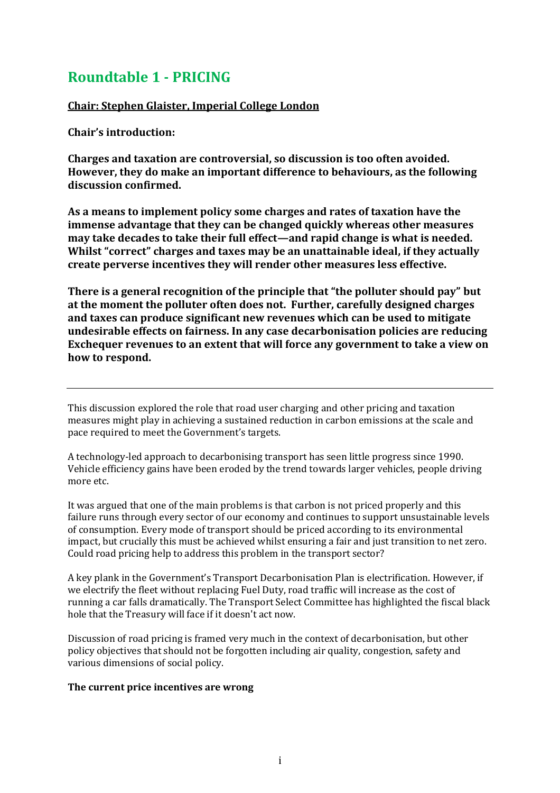# **Roundtable 1 - PRICING**

## **Chair: Stephen Glaister, Imperial College London**

**Chair's introduction:**

**Charges and taxation are controversial, so discussion is too often avoided. However, they do make an important difference to behaviours, as the following discussion confirmed.**

**As a means to implement policy some charges and rates of taxation have the immense advantage that they can be changed quickly whereas other measures may take decades to take their full effect—and rapid change is what is needed. Whilst "correct" charges and taxes may be an unattainable ideal, if they actually create perverse incentives they will render other measures less effective.**

**There is a general recognition of the principle that "the polluter should pay" but at the moment the polluter often does not. Further, carefully designed charges and taxes can produce significant new revenues which can be used to mitigate undesirable effects on fairness. In any case decarbonisation policies are reducing Exchequer revenues to an extent that will force any government to take a view on how to respond.**

This discussion explored the role that road user charging and other pricing and taxation measures might play in achieving a sustained reduction in carbon emissions at the scale and pace required to meet the Government's targets.

A technology-led approach to decarbonising transport has seen little progress since 1990. Vehicle efficiency gains have been eroded by the trend towards larger vehicles, people driving more etc.

It was argued that one of the main problems is that carbon is not priced properly and this failure runs through every sector of our economy and continues to support unsustainable levels of consumption. Every mode of transport should be priced according to its environmental impact, but crucially this must be achieved whilst ensuring a fair and just transition to net zero. Could road pricing help to address this problem in the transport sector?

A key plank in the Government's Transport Decarbonisation Plan is electrification. However, if we electrify the fleet without replacing Fuel Duty, road traffic will increase as the cost of running a car falls dramatically. The Transport Select Committee has highlighted the fiscal black hole that the Treasury will face if it doesn't act now.

Discussion of road pricing is framed very much in the context of decarbonisation, but other policy objectives that should not be forgotten including air quality, congestion, safety and various dimensions of social policy.

## **The current price incentives are wrong**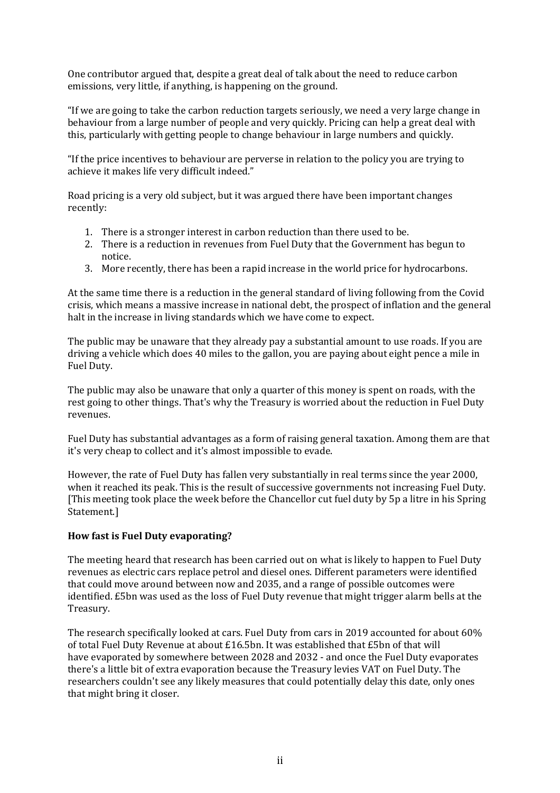One contributor argued that, despite a great deal of talk about the need to reduce carbon emissions, very little, if anything, is happening on the ground.

"If we are going to take the carbon reduction targets seriously, we need a very large change in behaviour from a large number of people and very quickly. Pricing can help a great deal with this, particularly with getting people to change behaviour in large numbers and quickly.

"If the price incentives to behaviour are perverse in relation to the policy you are trying to achieve it makes life very difficult indeed."

Road pricing is a very old subject, but it was argued there have been important changes recently:

- 1. There is a stronger interest in carbon reduction than there used to be.
- 2. There is a reduction in revenues from Fuel Duty that the Government has begun to notice.
- 3. More recently, there has been a rapid increase in the world price for hydrocarbons.

At the same time there is a reduction in the general standard of living following from the Covid crisis, which means a massive increase in national debt, the prospect of inflation and the general halt in the increase in living standards which we have come to expect.

The public may be unaware that they already pay a substantial amount to use roads. If you are driving a vehicle which does 40 miles to the gallon, you are paying about eight pence a mile in Fuel Duty.

The public may also be unaware that only a quarter of this money is spent on roads, with the rest going to other things. That's why the Treasury is worried about the reduction in Fuel Duty revenues.

Fuel Duty has substantial advantages as a form of raising general taxation. Among them are that it's very cheap to collect and it's almost impossible to evade.

However, the rate of Fuel Duty has fallen very substantially in real terms since the year 2000, when it reached its peak. This is the result of successive governments not increasing Fuel Duty. [This meeting took place the week before the Chancellor cut fuel duty by 5p a litre in his Spring Statement.]

## **How fast is Fuel Duty evaporating?**

The meeting heard that research has been carried out on what is likely to happen to Fuel Duty revenues as electric cars replace petrol and diesel ones. Different parameters were identified that could move around between now and 2035, and a range of possible outcomes were identified. £5bn was used as the loss of Fuel Duty revenue that might trigger alarm bells at the Treasury.

The research specifically looked at cars. Fuel Duty from cars in 2019 accounted for about 60% of total Fuel Duty Revenue at about £16.5bn. It was established that £5bn of that will have evaporated by somewhere between 2028 and 2032 - and once the Fuel Duty evaporates there's a little bit of extra evaporation because the Treasury levies VAT on Fuel Duty. The researchers couldn't see any likely measures that could potentially delay this date, only ones that might bring it closer.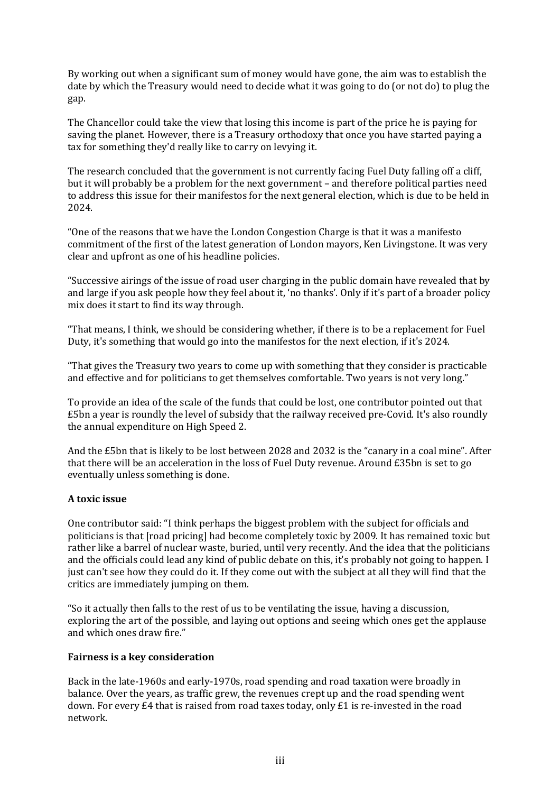By working out when a significant sum of money would have gone, the aim was to establish the date by which the Treasury would need to decide what it was going to do (or not do) to plug the gap.

The Chancellor could take the view that losing this income is part of the price he is paying for saving the planet. However, there is a Treasury orthodoxy that once you have started paying a tax for something they'd really like to carry on levying it.

The research concluded that the government is not currently facing Fuel Duty falling off a cliff, but it will probably be a problem for the next government – and therefore political parties need to address this issue for their manifestos for the next general election, which is due to be held in 2024.

"One of the reasons that we have the London Congestion Charge is that it was a manifesto commitment of the first of the latest generation of London mayors, Ken Livingstone. It was very clear and upfront as one of his headline policies.

"Successive airings of the issue of road user charging in the public domain have revealed that by and large if you ask people how they feel about it, 'no thanks'. Only if it's part of a broader policy mix does it start to find its way through.

"That means, I think, we should be considering whether, if there is to be a replacement for Fuel Duty, it's something that would go into the manifestos for the next election, if it's 2024.

"That gives the Treasury two years to come up with something that they consider is practicable and effective and for politicians to get themselves comfortable. Two years is not very long."

To provide an idea of the scale of the funds that could be lost, one contributor pointed out that £5bn a year is roundly the level of subsidy that the railway received pre-Covid. It's also roundly the annual expenditure on High Speed 2.

And the £5bn that is likely to be lost between 2028 and 2032 is the "canary in a coal mine". After that there will be an acceleration in the loss of Fuel Duty revenue. Around £35bn is set to go eventually unless something is done.

## **A toxic issue**

One contributor said: "I think perhaps the biggest problem with the subject for officials and politicians is that [road pricing] had become completely toxic by 2009. It has remained toxic but rather like a barrel of nuclear waste, buried, until very recently. And the idea that the politicians and the officials could lead any kind of public debate on this, it's probably not going to happen. I just can't see how they could do it. If they come out with the subject at all they will find that the critics are immediately jumping on them.

"So it actually then falls to the rest of us to be ventilating the issue, having a discussion, exploring the art of the possible, and laying out options and seeing which ones get the applause and which ones draw fire."

#### **Fairness is a key consideration**

Back in the late-1960s and early-1970s, road spending and road taxation were broadly in balance. Over the years, as traffic grew, the revenues crept up and the road spending went down. For every £4 that is raised from road taxes today, only £1 is re-invested in the road network.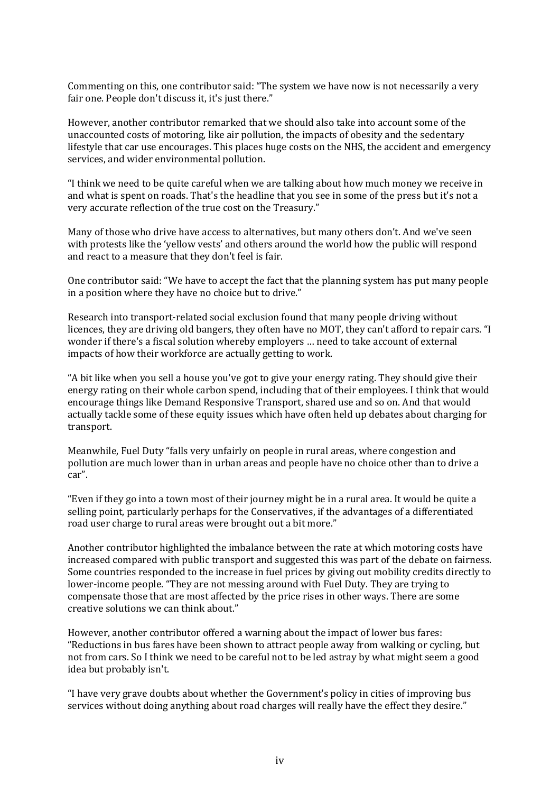Commenting on this, one contributor said: "The system we have now is not necessarily a very fair one. People don't discuss it, it's just there."

However, another contributor remarked that we should also take into account some of the unaccounted costs of motoring, like air pollution, the impacts of obesity and the sedentary lifestyle that car use encourages. This places huge costs on the NHS, the accident and emergency services, and wider environmental pollution.

"I think we need to be quite careful when we are talking about how much money we receive in and what is spent on roads. That's the headline that you see in some of the press but it's not a very accurate reflection of the true cost on the Treasury."

Many of those who drive have access to alternatives, but many others don't. And we've seen with protests like the 'yellow vests' and others around the world how the public will respond and react to a measure that they don't feel is fair.

One contributor said: "We have to accept the fact that the planning system has put many people in a position where they have no choice but to drive."

Research into transport-related social exclusion found that many people driving without licences, they are driving old bangers, they often have no MOT, they can't afford to repair cars. "I wonder if there's a fiscal solution whereby employers … need to take account of external impacts of how their workforce are actually getting to work.

"A bit like when you sell a house you've got to give your energy rating. They should give their energy rating on their whole carbon spend, including that of their employees. I think that would encourage things like Demand Responsive Transport, shared use and so on. And that would actually tackle some of these equity issues which have often held up debates about charging for transport.

Meanwhile, Fuel Duty "falls very unfairly on people in rural areas, where congestion and pollution are much lower than in urban areas and people have no choice other than to drive a car".

"Even if they go into a town most of their journey might be in a rural area. It would be quite a selling point, particularly perhaps for the Conservatives, if the advantages of a differentiated road user charge to rural areas were brought out a bit more."

Another contributor highlighted the imbalance between the rate at which motoring costs have increased compared with public transport and suggested this was part of the debate on fairness. Some countries responded to the increase in fuel prices by giving out mobility credits directly to lower-income people. "They are not messing around with Fuel Duty. They are trying to compensate those that are most affected by the price rises in other ways. There are some creative solutions we can think about."

However, another contributor offered a warning about the impact of lower bus fares: "Reductions in bus fares have been shown to attract people away from walking or cycling, but not from cars. So I think we need to be careful not to be led astray by what might seem a good idea but probably isn't.

"I have very grave doubts about whether the Government's policy in cities of improving bus services without doing anything about road charges will really have the effect they desire."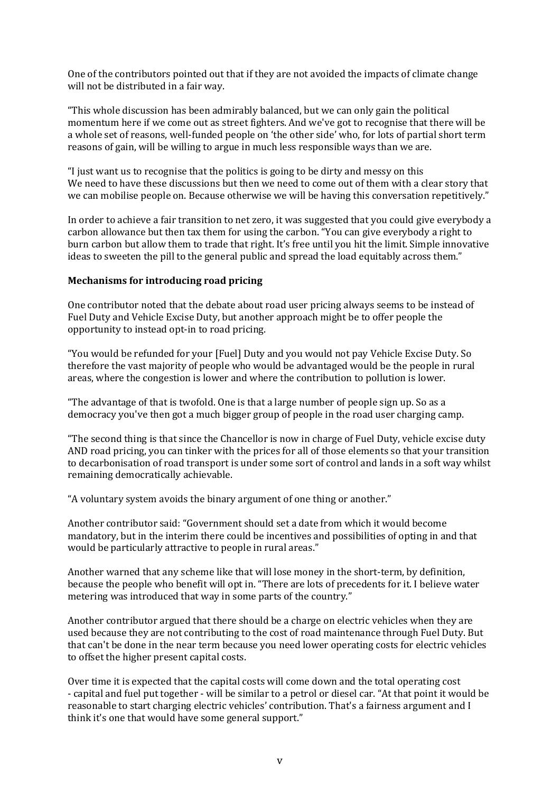One of the contributors pointed out that if they are not avoided the impacts of climate change will not be distributed in a fair way.

"This whole discussion has been admirably balanced, but we can only gain the political momentum here if we come out as street fighters. And we've got to recognise that there will be a whole set of reasons, well-funded people on 'the other side' who, for lots of partial short term reasons of gain, will be willing to argue in much less responsible ways than we are.

"I just want us to recognise that the politics is going to be dirty and messy on this We need to have these discussions but then we need to come out of them with a clear story that we can mobilise people on. Because otherwise we will be having this conversation repetitively."

In order to achieve a fair transition to net zero, it was suggested that you could give everybody a carbon allowance but then tax them for using the carbon. "You can give everybody a right to burn carbon but allow them to trade that right. It's free until you hit the limit. Simple innovative ideas to sweeten the pill to the general public and spread the load equitably across them."

#### **Mechanisms for introducing road pricing**

One contributor noted that the debate about road user pricing always seems to be instead of Fuel Duty and Vehicle Excise Duty, but another approach might be to offer people the opportunity to instead opt-in to road pricing.

"You would be refunded for your [Fuel] Duty and you would not pay Vehicle Excise Duty. So therefore the vast majority of people who would be advantaged would be the people in rural areas, where the congestion is lower and where the contribution to pollution is lower.

"The advantage of that is twofold. One is that a large number of people sign up. So as a democracy you've then got a much bigger group of people in the road user charging camp.

"The second thing is that since the Chancellor is now in charge of Fuel Duty, vehicle excise duty AND road pricing, you can tinker with the prices for all of those elements so that your transition to decarbonisation of road transport is under some sort of control and lands in a soft way whilst remaining democratically achievable.

"A voluntary system avoids the binary argument of one thing or another."

Another contributor said: "Government should set a date from which it would become mandatory, but in the interim there could be incentives and possibilities of opting in and that would be particularly attractive to people in rural areas."

Another warned that any scheme like that will lose money in the short-term, by definition, because the people who benefit will opt in. "There are lots of precedents for it. I believe water metering was introduced that way in some parts of the country."

Another contributor argued that there should be a charge on electric vehicles when they are used because they are not contributing to the cost of road maintenance through Fuel Duty. But that can't be done in the near term because you need lower operating costs for electric vehicles to offset the higher present capital costs.

Over time it is expected that the capital costs will come down and the total operating cost - capital and fuel put together - will be similar to a petrol or diesel car. "At that point it would be reasonable to start charging electric vehicles' contribution. That's a fairness argument and I think it's one that would have some general support."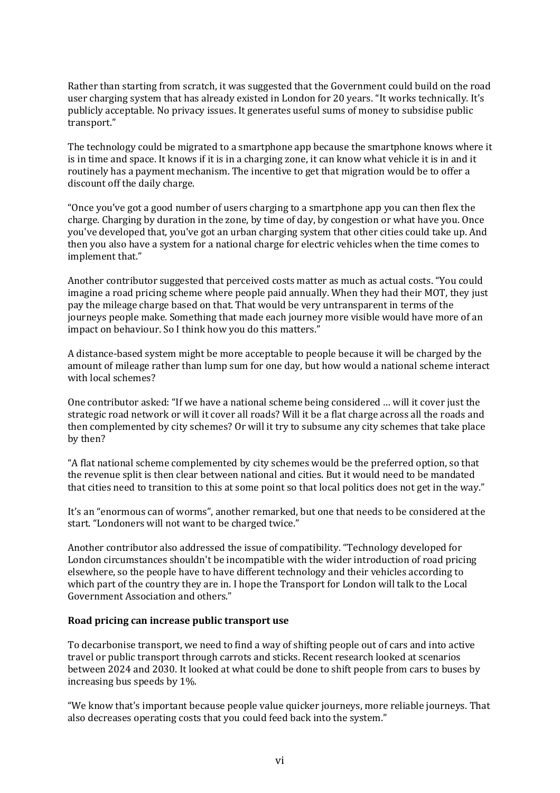Rather than starting from scratch, it was suggested that the Government could build on the road user charging system that has already existed in London for 20 years. "It works technically. It's publicly acceptable. No privacy issues. It generates useful sums of money to subsidise public transport."

The technology could be migrated to a smartphone app because the smartphone knows where it is in time and space. It knows if it is in a charging zone, it can know what vehicle it is in and it routinely has a payment mechanism. The incentive to get that migration would be to offer a discount off the daily charge.

"Once you've got a good number of users charging to a smartphone app you can then flex the charge. Charging by duration in the zone, by time of day, by congestion or what have you. Once you've developed that, you've got an urban charging system that other cities could take up. And then you also have a system for a national charge for electric vehicles when the time comes to implement that."

Another contributor suggested that perceived costs matter as much as actual costs. "You could imagine a road pricing scheme where people paid annually. When they had their MOT, they just pay the mileage charge based on that. That would be very untransparent in terms of the journeys people make. Something that made each journey more visible would have more of an impact on behaviour. So I think how you do this matters."

A distance-based system might be more acceptable to people because it will be charged by the amount of mileage rather than lump sum for one day, but how would a national scheme interact with local schemes?

One contributor asked: "If we have a national scheme being considered … will it cover just the strategic road network or will it cover all roads? Will it be a flat charge across all the roads and then complemented by city schemes? Or will it try to subsume any city schemes that take place by then?

"A flat national scheme complemented by city schemes would be the preferred option, so that the revenue split is then clear between national and cities. But it would need to be mandated that cities need to transition to this at some point so that local politics does not get in the way."

It's an "enormous can of worms", another remarked, but one that needs to be considered at the start. "Londoners will not want to be charged twice."

Another contributor also addressed the issue of compatibility. "Technology developed for London circumstances shouldn't be incompatible with the wider introduction of road pricing elsewhere, so the people have to have different technology and their vehicles according to which part of the country they are in. I hope the Transport for London will talk to the Local Government Association and others."

#### **Road pricing can increase public transport use**

To decarbonise transport, we need to find a way of shifting people out of cars and into active travel or public transport through carrots and sticks. Recent research looked at scenarios between 2024 and 2030. It looked at what could be done to shift people from cars to buses by increasing bus speeds by 1%.

"We know that's important because people value quicker journeys, more reliable journeys. That also decreases operating costs that you could feed back into the system."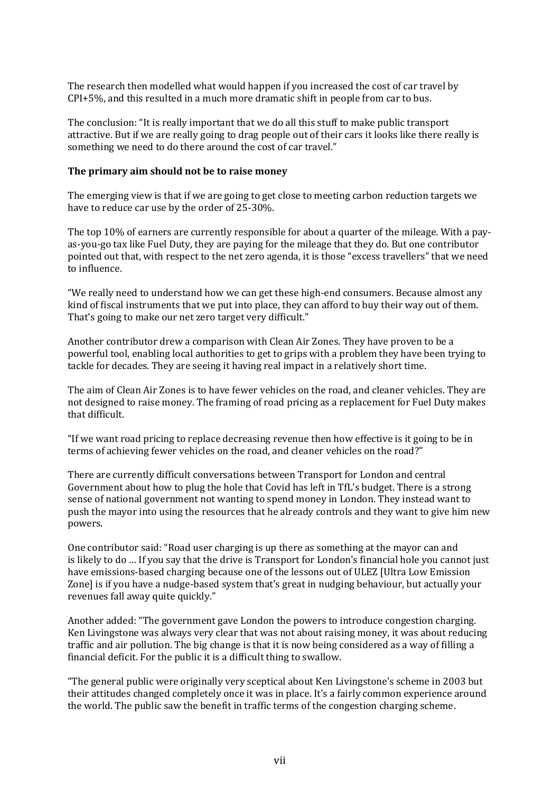The research then modelled what would happen if you increased the cost of car travel by CPI+5%, and this resulted in a much more dramatic shift in people from car to bus.

The conclusion: "It is really important that we do all this stuff to make public transport attractive. But if we are really going to drag people out of their cars it looks like there really is something we need to do there around the cost of car travel."

#### **The primary aim should not be to raise money**

The emerging view is that if we are going to get close to meeting carbon reduction targets we have to reduce car use by the order of 25-30%.

The top 10% of earners are currently responsible for about a quarter of the mileage. With a payas-you-go tax like Fuel Duty, they are paying for the mileage that they do. But one contributor pointed out that, with respect to the net zero agenda, it is those "excess travellers" that we need to influence.

"We really need to understand how we can get these high-end consumers. Because almost any kind of fiscal instruments that we put into place, they can afford to buy their way out of them. That's going to make our net zero target very difficult."

Another contributor drew a comparison with Clean Air Zones. They have proven to be a powerful tool, enabling local authorities to get to grips with a problem they have been trying to tackle for decades. They are seeing it having real impact in a relatively short time.

The aim of Clean Air Zones is to have fewer vehicles on the road, and cleaner vehicles. They are not designed to raise money. The framing of road pricing as a replacement for Fuel Duty makes that difficult.

"If we want road pricing to replace decreasing revenue then how effective is it going to be in terms of achieving fewer vehicles on the road, and cleaner vehicles on the road?"

There are currently difficult conversations between Transport for London and central Government about how to plug the hole that Covid has left in TfL's budget. There is a strong sense of national government not wanting to spend money in London. They instead want to push the mayor into using the resources that he already controls and they want to give him new powers.

One contributor said: "Road user charging is up there as something at the mayor can and is likely to do … If you say that the drive is Transport for London's financial hole you cannot just have emissions-based charging because one of the lessons out of ULEZ [Ultra Low Emission Zone] is if you have a nudge-based system that's great in nudging behaviour, but actually your revenues fall away quite quickly."

Another added: "The government gave London the powers to introduce congestion charging. Ken Livingstone was always very clear that was not about raising money, it was about reducing traffic and air pollution. The big change is that it is now being considered as a way of filling a financial deficit. For the public it is a difficult thing to swallow.

"The general public were originally very sceptical about Ken Livingstone's scheme in 2003 but their attitudes changed completely once it was in place. It's a fairly common experience around the world. The public saw the benefit in traffic terms of the congestion charging scheme.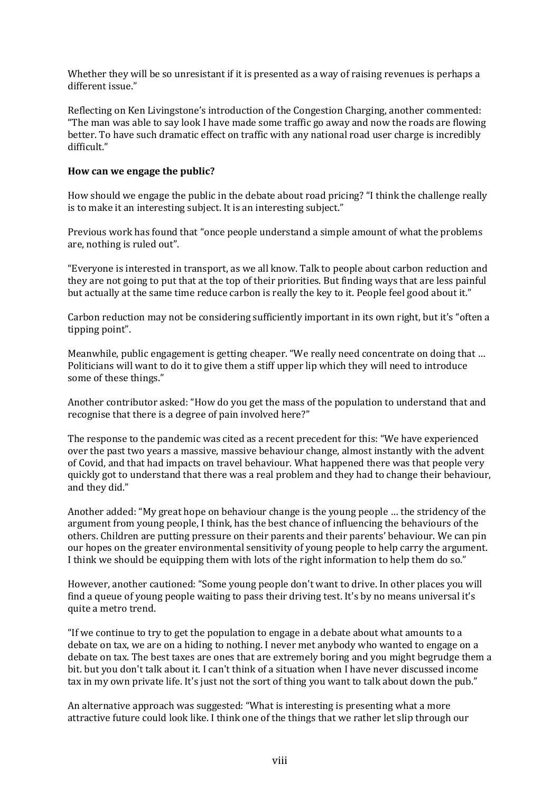Whether they will be so unresistant if it is presented as a way of raising revenues is perhaps a different issue."

Reflecting on Ken Livingstone's introduction of the Congestion Charging, another commented: "The man was able to say look I have made some traffic go away and now the roads are flowing better. To have such dramatic effect on traffic with any national road user charge is incredibly difficult."

#### **How can we engage the public?**

How should we engage the public in the debate about road pricing? "I think the challenge really is to make it an interesting subject. It is an interesting subject."

Previous work has found that "once people understand a simple amount of what the problems are, nothing is ruled out".

"Everyone is interested in transport, as we all know. Talk to people about carbon reduction and they are not going to put that at the top of their priorities. But finding ways that are less painful but actually at the same time reduce carbon is really the key to it. People feel good about it."

Carbon reduction may not be considering sufficiently important in its own right, but it's "often a tipping point".

Meanwhile, public engagement is getting cheaper. "We really need concentrate on doing that … Politicians will want to do it to give them a stiff upper lip which they will need to introduce some of these things."

Another contributor asked: "How do you get the mass of the population to understand that and recognise that there is a degree of pain involved here?"

The response to the pandemic was cited as a recent precedent for this: "We have experienced over the past two years a massive, massive behaviour change, almost instantly with the advent of Covid, and that had impacts on travel behaviour. What happened there was that people very quickly got to understand that there was a real problem and they had to change their behaviour, and they did."

Another added: "My great hope on behaviour change is the young people … the stridency of the argument from young people, I think, has the best chance of influencing the behaviours of the others. Children are putting pressure on their parents and their parents' behaviour. We can pin our hopes on the greater environmental sensitivity of young people to help carry the argument. I think we should be equipping them with lots of the right information to help them do so."

However, another cautioned: "Some young people don't want to drive. In other places you will find a queue of young people waiting to pass their driving test. It's by no means universal it's quite a metro trend.

"If we continue to try to get the population to engage in a debate about what amounts to a debate on tax, we are on a hiding to nothing. I never met anybody who wanted to engage on a debate on tax. The best taxes are ones that are extremely boring and you might begrudge them a bit. but you don't talk about it. I can't think of a situation when I have never discussed income tax in my own private life. It's just not the sort of thing you want to talk about down the pub."

An alternative approach was suggested: "What is interesting is presenting what a more attractive future could look like. I think one of the things that we rather let slip through our